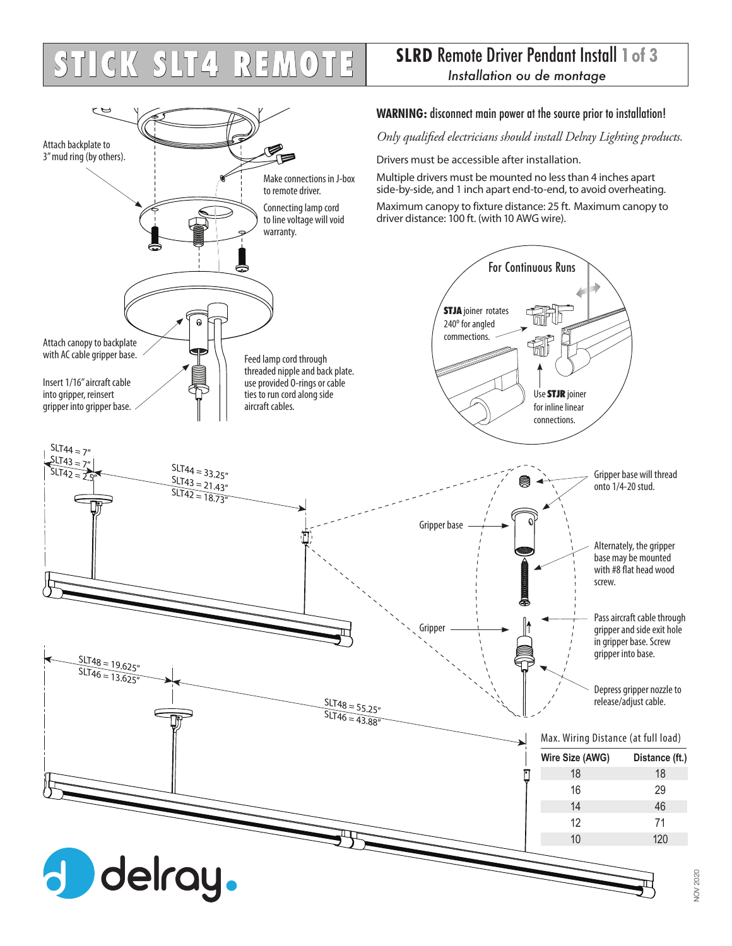# **STICK SLT4 REMOTE**

### **SLRD** Remote Driver Pendant Install **1 of 3** *Installation ou de montage*

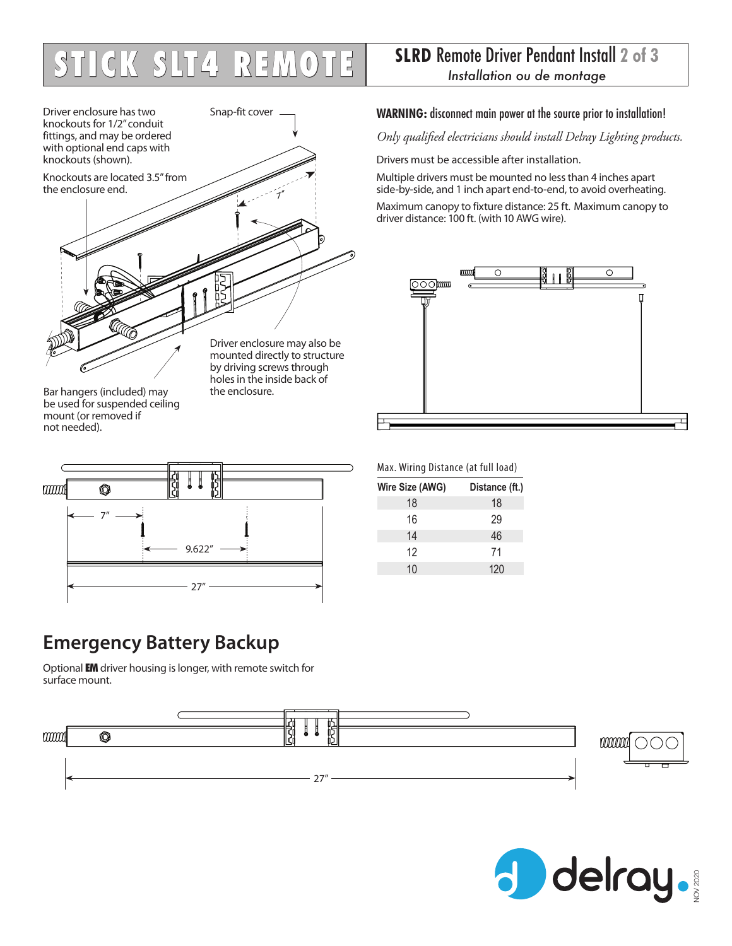

Bar hangers (included) may be used for suspended ceiling mount (or removed if not needed).

관심 的<br>图 Ô 7"

the enclosure.

# $00000$ 9.622" 27"

## **SLT4 REMOTE SLRD** Remote Driver Pendant Install 2 of 3

### **WARNING:** disconnect main power at the source prior to installation!

*Only qualified electricians should install Delray Lighting products.*

Drivers must be accessible after installation.

Multiple drivers must be mounted no less than 4 inches apart side-by-side, and 1 inch apart end-to-end, to avoid overheating.

Maximum canopy to fixture distance: 25 ft. Maximum canopy to driver distance: 100 ft. (with 10 AWG wire).



#### Max. Wiring Distance (at full load)

| Wire Size (AWG) | Distance (ft.) |
|-----------------|----------------|
| 18              | 18             |
| 16              | 29             |
| 14              | 46             |
| 12              | 71             |
| 10              | 120            |

### **Emergency Battery Backup**

Optional EM driver housing is longer, with remote switch for surface mount.